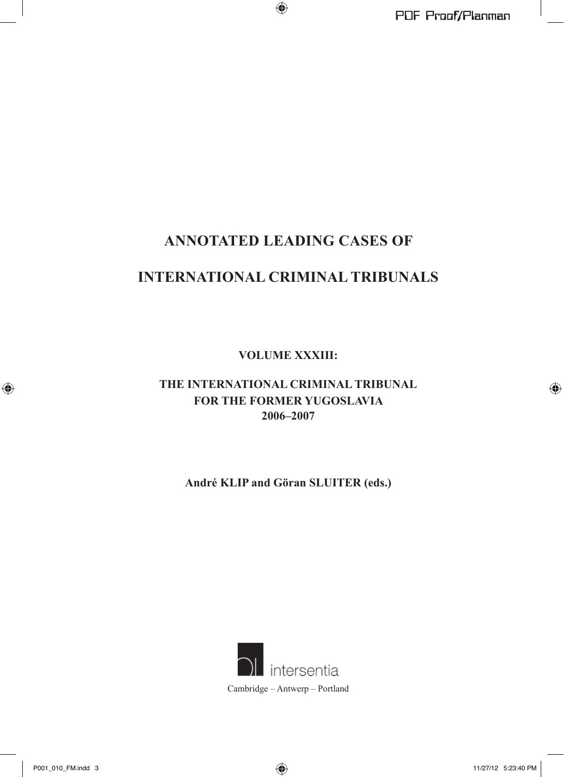# **ANNOTATED LEADING CASES OF**

# **INTERNATIONAL CRIMINAL TRIBUNALS**

**VOLUME XXXIII:**

## **THE INTERNATIONAL CRIMINAL TRIBUNAL FOR THE FORMER YUGOSLAVIA 2006–2007**

**André KLIP and Göran SLUITER (eds.)**

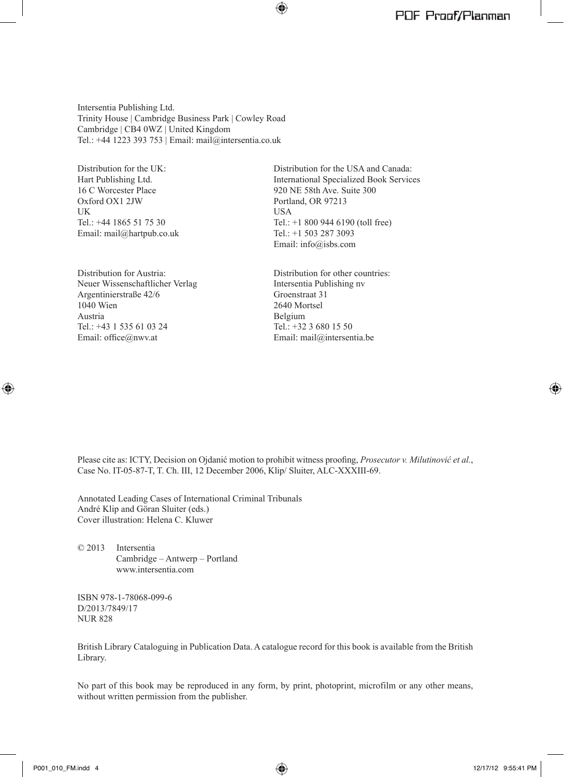Intersentia Publishing Ltd. Trinity House | Cambridge Business Park | Cowley Road Cambridge | CB4 0WZ | United Kingdom Tel.: +44 1223 393 753 | Email: mail@intersentia.co.uk

Distribution for the UK: Hart Publishing Ltd. 16 C Worcester Place Oxford OX1 2JW **I** IK Tel.: +44 1865 51 75 30 Email: mail@hartpub.co.uk

Distribution for Austria: Neuer Wissenschaftlicher Verlag Argentinierstraße 42/6 1040 Wien Austria Tel.: +43 1 535 61 03 24 Email: office@nwv.at

Distribution for the USA and Canada: International Specialized Book Services 920 NE 58th Ave. Suite 300 Portland, OR 97213 USA Tel.: +1 800 944 6190 (toll free) Tel.: +1 503 287 3093 Email: info@isbs.com

Distribution for other countries: Intersentia Publishing nv Groenstraat 31 2640 Mortsel Belgium Tel.: +32 3 680 15 50 Email: mail@intersentia.be

Please cite as: ICTY, Decision on Ojdanić motion to prohibit witness proofing, *Prosecutor v. Milutinović et al.*, Case No. IT-05-87-T, T. Ch. III, 12 December 2006, Klip/ Sluiter, ALC-XXXIII-69.

Annotated Leading Cases of International Criminal Tribunals André Klip and Göran Sluiter (eds.) Cover illustration: Helena C. Kluwer

© 2013 Intersentia Cambridge – Antwerp – Portland www.intersentia.com

ISBN 978-1-78068-099-6 D/2013/7849/17 NUR 828

British Library Cataloguing in Publication Data. A catalogue record for this book is available from the British Library.

No part of this book may be reproduced in any form, by print, photoprint, microfilm or any other means, without written permission from the publisher.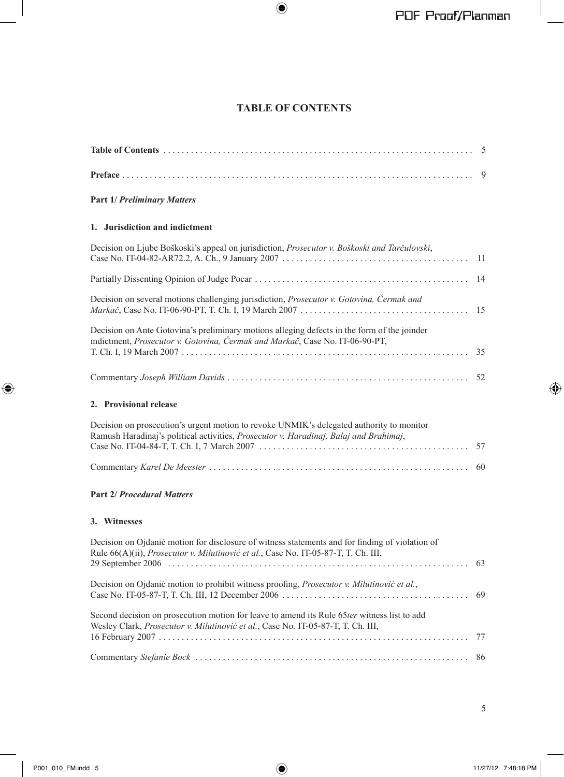## **TABLE OF CONTENTS**

## **Part 1/ Preliminary Matters**

#### 1. Jurisdiction and indictment

| Decision on Ljube Boškoski's appeal on jurisdiction, Prosecutor v. Boškoski and Tarčulovski,                                                                                        |  |
|-------------------------------------------------------------------------------------------------------------------------------------------------------------------------------------|--|
|                                                                                                                                                                                     |  |
| Decision on several motions challenging jurisdiction, Prosecutor v. Gotovina, Čermak and                                                                                            |  |
| Decision on Ante Gotovina's preliminary motions alleging defects in the form of the joinder<br>indictment, <i>Prosecutor v. Gotovina, Čermak and Markač</i> , Case No. IT-06-90-PT, |  |
|                                                                                                                                                                                     |  |

## 2. Provisional release

| Decision on prosecution's urgent motion to revoke UNMIK's delegated authority to monitor<br>Ramush Haradinaj's political activities, <i>Prosecutor v. Haradinaj, Balaj and Brahimaj</i> , |  |
|-------------------------------------------------------------------------------------------------------------------------------------------------------------------------------------------|--|
|                                                                                                                                                                                           |  |
|                                                                                                                                                                                           |  |

#### Part 2/ Procedural Matters

#### 3. Witnesses

| Decision on Ojdanić motion for disclosure of witness statements and for finding of violation of                                                                                         |  |
|-----------------------------------------------------------------------------------------------------------------------------------------------------------------------------------------|--|
| Rule 66(A)(ii), <i>Prosecutor v. Milutinović et al.</i> , Case No. IT-05-87-T, T. Ch. III,                                                                                              |  |
| Decision on Ojdanić motion to prohibit witness proofing, <i>Prosecutor v. Milutinović et al.</i> ,                                                                                      |  |
| Second decision on prosecution motion for leave to amend its Rule 65ter witness list to add<br>Wesley Clark, <i>Prosecutor v. Milutinović et al.</i> , Case No. IT-05-87-T, T. Ch. III, |  |
|                                                                                                                                                                                         |  |
|                                                                                                                                                                                         |  |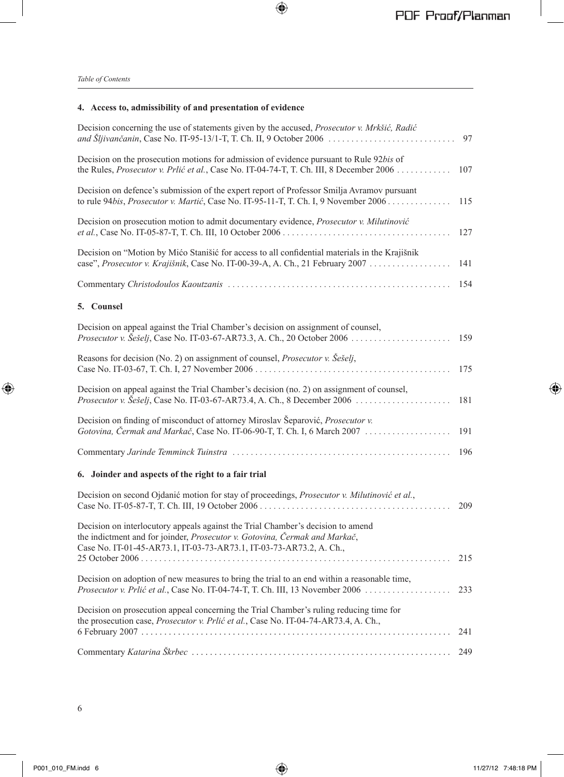## **4. Access to, admissibility of and presentation of evidence**

| Decision concerning the use of statements given by the accused, Prosecutor v. Mrkšić, Radić<br>and Šljivančanin, Case No. IT-95-13/1-T, T. Ch. II, 9 October 2006                                                                    | 97  |
|--------------------------------------------------------------------------------------------------------------------------------------------------------------------------------------------------------------------------------------|-----|
| Decision on the prosecution motions for admission of evidence pursuant to Rule 92bis of<br>the Rules, Prosecutor v. Prlić et al., Case No. IT-04-74-T, T. Ch. III, 8 December 2006                                                   | 107 |
| Decision on defence's submission of the expert report of Professor Smilja Avramov pursuant<br>to rule 94bis, Prosecutor v. Martić, Case No. IT-95-11-T, T. Ch. I, 9 November 2006                                                    | 115 |
| Decision on prosecution motion to admit documentary evidence, <i>Prosecutor v. Milutinović</i>                                                                                                                                       | 127 |
| Decision on "Motion by Mićo Stanišić for access to all confidential materials in the Krajišnik<br>case", Prosecutor v. Krajišnik, Case No. IT-00-39-A, A. Ch., 21 February 2007                                                      | 141 |
|                                                                                                                                                                                                                                      | 154 |
| 5. Counsel                                                                                                                                                                                                                           |     |
| Decision on appeal against the Trial Chamber's decision on assignment of counsel,                                                                                                                                                    | 159 |
| Reasons for decision (No. 2) on assignment of counsel, <i>Prosecutor v. Sešelj</i> ,                                                                                                                                                 | 175 |
| Decision on appeal against the Trial Chamber's decision (no. 2) on assignment of counsel,                                                                                                                                            | 181 |
| Decision on finding of misconduct of attorney Miroslav Šeparović, Prosecutor v.<br>Gotovina, Čermak and Markač, Case No. IT-06-90-T, T. Ch. I, 6 March 2007                                                                          | 191 |
|                                                                                                                                                                                                                                      | 196 |
| 6. Joinder and aspects of the right to a fair trial                                                                                                                                                                                  |     |
| Decision on second Ojdanić motion for stay of proceedings, Prosecutor v. Milutinović et al.,                                                                                                                                         | 209 |
| Decision on interlocutory appeals against the Trial Chamber's decision to amend<br>the indictment and for joinder, Prosecutor v. Gotovina, Čermak and Markač,<br>Case No. IT-01-45-AR73.1, IT-03-73-AR73.1, IT-03-73-AR73.2, A. Ch., |     |
|                                                                                                                                                                                                                                      | 215 |
| Decision on adoption of new measures to bring the trial to an end within a reasonable time,<br>Prosecutor v. Prlić et al., Case No. IT-04-74-T, T. Ch. III, 13 November 2006                                                         | 233 |
| Decision on prosecution appeal concerning the Trial Chamber's ruling reducing time for<br>the prosecution case, Prosecutor v. Prlić et al., Case No. IT-04-74-AR73.4, A. Ch.,                                                        | 241 |
|                                                                                                                                                                                                                                      | 249 |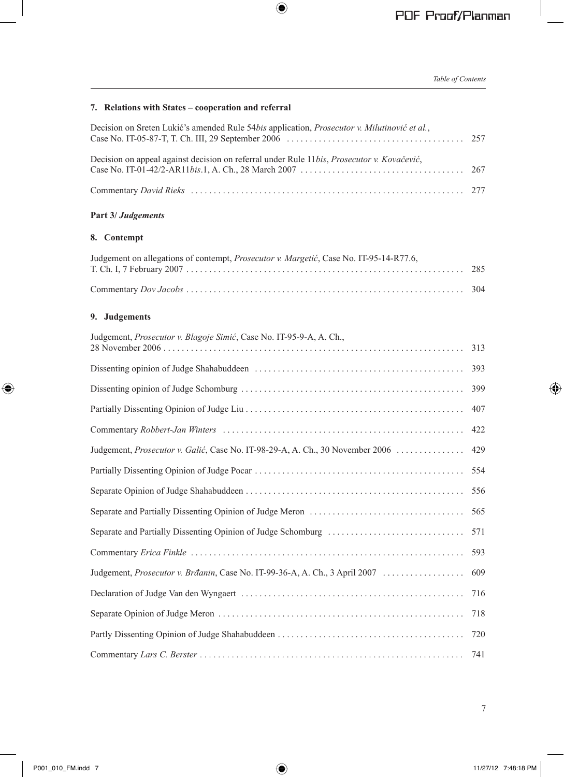## **7. Relations with States – cooperation and referral**

| Decision on Sreten Lukić's amended Rule 54bis application, <i>Prosecutor v. Milutinović et al.</i> , |  |
|------------------------------------------------------------------------------------------------------|--|
| Decision on appeal against decision on referral under Rule 11bis, Prosecutor v. Kovačević,           |  |
|                                                                                                      |  |

## **Part 3/** *Judgements*

## **8. Contempt**

| Judgement on allegations of contempt, <i>Prosecutor v. Margetić</i> , Case No. IT-95-14-R77.6, |  |
|------------------------------------------------------------------------------------------------|--|
|                                                                                                |  |

## **9. Judgements**

| Judgement, Prosecutor v. Blagoje Simić, Case No. IT-95-9-A, A. Ch.,           |     |
|-------------------------------------------------------------------------------|-----|
|                                                                               | 313 |
|                                                                               | 393 |
|                                                                               | 399 |
|                                                                               | 407 |
|                                                                               | 422 |
| Judgement, Prosecutor v. Galić, Case No. IT-98-29-A, A. Ch., 30 November 2006 | 429 |
|                                                                               | 554 |
|                                                                               | 556 |
|                                                                               | 565 |
|                                                                               | 571 |
|                                                                               | 593 |
|                                                                               | 609 |
|                                                                               | 716 |
|                                                                               | 718 |
|                                                                               | 720 |
|                                                                               | 741 |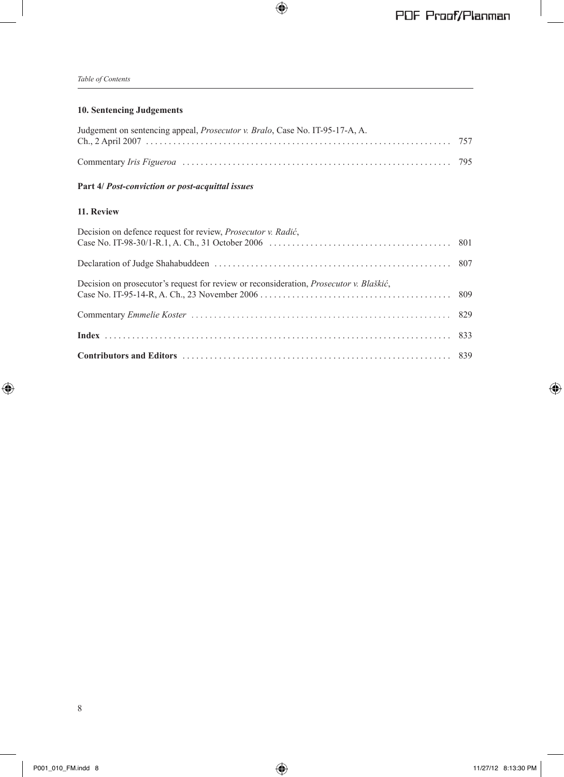## **10. Sentencing Judgements**

| Judgement on sentencing appeal, <i>Prosecutor v. Bralo</i> , Case No. IT-95-17-A, A. |  |
|--------------------------------------------------------------------------------------|--|
|                                                                                      |  |
|                                                                                      |  |
|                                                                                      |  |

#### **Part 4/** *Post-conviction or post-acquittal issues*

#### **11. Review**

| Decision on defence request for review, <i>Prosecutor v. Radić</i> ,                           |  |
|------------------------------------------------------------------------------------------------|--|
|                                                                                                |  |
| Decision on prosecutor's request for review or reconsideration, <i>Prosecutor v. Blaškić</i> , |  |
|                                                                                                |  |
|                                                                                                |  |
|                                                                                                |  |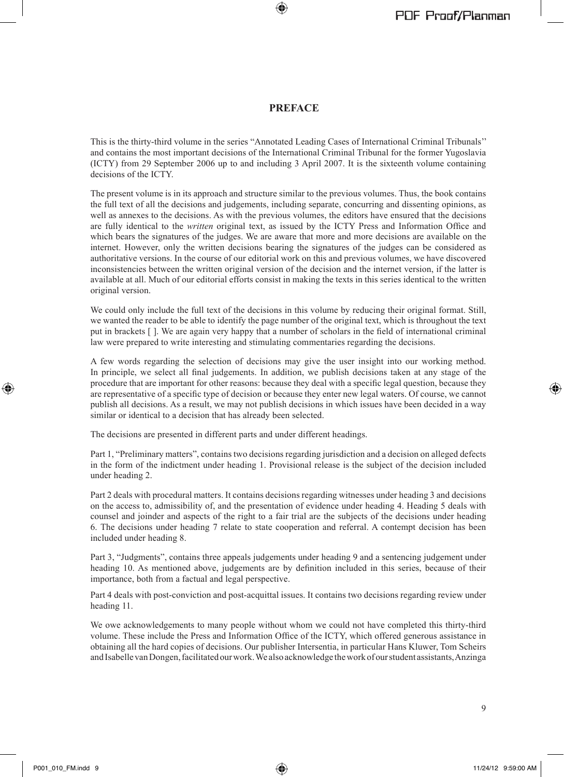#### **PREFACE**

This is the thirty-third volume in the series "Annotated Leading Cases of International Criminal Tribunals'' and contains the most important decisions of the International Criminal Tribunal for the former Yugoslavia (ICTY) from 29 September 2006 up to and including 3 April 2007. It is the sixteenth volume containing decisions of the ICTY.

The present volume is in its approach and structure similar to the previous volumes. Thus, the book contains the full text of all the decisions and judgements, including separate, concurring and dissenting opinions, as well as annexes to the decisions. As with the previous volumes, the editors have ensured that the decisions are fully identical to the *written* original text, as issued by the ICTY Press and Information Office and which bears the signatures of the judges. We are aware that more and more decisions are available on the internet. However, only the written decisions bearing the signatures of the judges can be considered as authoritative versions. In the course of our editorial work on this and previous volumes, we have discovered inconsistencies between the written original version of the decision and the internet version, if the latter is available at all. Much of our editorial efforts consist in making the texts in this series identical to the written original version.

We could only include the full text of the decisions in this volume by reducing their original format. Still, we wanted the reader to be able to identify the page number of the original text, which is throughout the text put in brackets [ ]. We are again very happy that a number of scholars in the field of international criminal law were prepared to write interesting and stimulating commentaries regarding the decisions.

A few words regarding the selection of decisions may give the user insight into our working method. In principle, we select all final judgements. In addition, we publish decisions taken at any stage of the procedure that are important for other reasons: because they deal with a specific legal question, because they are representative of a specific type of decision or because they enter new legal waters. Of course, we cannot publish all decisions. As a result, we may not publish decisions in which issues have been decided in a way similar or identical to a decision that has already been selected.

The decisions are presented in different parts and under different headings.

Part 1, "Preliminary matters", contains two decisions regarding jurisdiction and a decision on alleged defects in the form of the indictment under heading 1. Provisional release is the subject of the decision included under heading 2.

Part 2 deals with procedural matters. It contains decisions regarding witnesses under heading 3 and decisions on the access to, admissibility of, and the presentation of evidence under heading 4. Heading 5 deals with counsel and joinder and aspects of the right to a fair trial are the subjects of the decisions under heading 6. The decisions under heading 7 relate to state cooperation and referral. A contempt decision has been included under heading 8.

Part 3, "Judgments", contains three appeals judgements under heading 9 and a sentencing judgement under heading 10. As mentioned above, judgements are by definition included in this series, because of their importance, both from a factual and legal perspective.

Part 4 deals with post-conviction and post-acquittal issues. It contains two decisions regarding review under heading 11.

We owe acknowledgements to many people without whom we could not have completed this thirty-third volume. These include the Press and Information Office of the ICTY, which offered generous assistance in obtaining all the hard copies of decisions. Our publisher Intersentia, in particular Hans Kluwer, Tom Scheirs and Isabelle van Dongen, facilitated our work. We also acknowledge the work of our student assistants, Anzinga